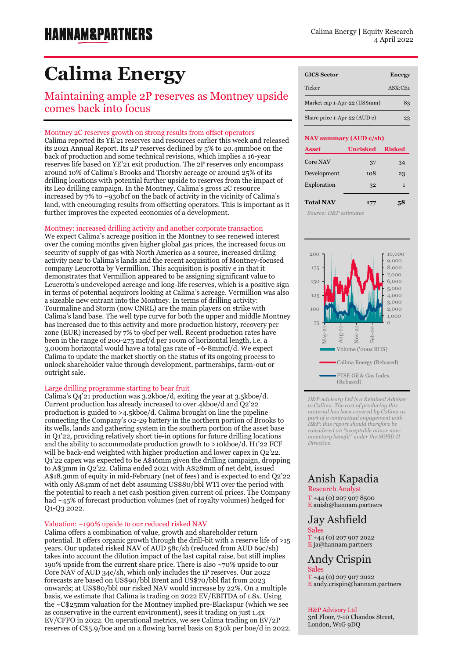# **Calima Energy**

Maintaining ample 2P reserves as Montney upside comes back into focus

### Montney 2C reserves growth on strong results from offset operators

Calima reported its YE'21 reserves and resources earlier this week and released its 2021 Annual Report. Its 2P reserves declined by 5% to 20.4mmboe on the back of production and some technical revisions, which implies a 16-year reserves life based on YE'21 exit production. The 2P reserves only encompass around 10% of Calima's Brooks and Thorsby acreage or around 25% of its drilling locations with potential further upside to reserves from the impact of its Leo drilling campaign. In the Montney, Calima's gross 2C resource increased by 7% to ~950bcf on the back of activity in the vicinity of Calima's land, with encouraging results from offsetting operators. This is important as it further improves the expected economics of a development.

### Montney: increased drilling activity and another corporate transaction

We expect Calima's acreage position in the Montney to see renewed interest over the coming months given higher global gas prices, the increased focus on security of supply of gas with North America as a source, increased drilling activity near to Calima's lands and the recent acquisition of Montney-focused company Leucrotta by Vermillion. This acquisition is positiv e in that it demonstrates that Vermillion appeared to be assigning significant value to Leucrotta's undeveloped acreage and long-life reserves, which is a positive sign in terms of potential acquirors looking at Calima's acreage. Vermillion was also a sizeable new entrant into the Montney. In terms of drilling activity: Tourmaline and Storm (now CNRL) are the main players on strike with Calima's land base. The well type curve for both the upper and middle Montney has increased due to this activity and more production history, recovery per zone (EUR) increased by 7% to 9bcf per well. Recent production rates have been in the range of 200-275 mcf/d per 100m of horizontal length, i.e. a 3,000m horizontal would have a total gas rate of ~6-8mmcf/d. We expect Calima to update the market shortly on the status of its ongoing process to unlock shareholder value through development, partnerships, farm-out or outright sale.

### Large drilling programme starting to bear fruit

Calima's Q4'21 production was 3.2kboe/d, exiting the year at 3.5kboe/d. Current production has already increased to over 4kboe/d and Q2'22 production is guided to >4.5kboe/d. Calima brought on line the pipeline connecting the Company's 02-29 battery in the northern portion of Brooks to its wells, lands and gathering system in the southern portion of the asset base in Q1'22, providing relatively short tie-in options for future drilling locations and the ability to accommodate production growth to >10kboe/d. H1'22 FCF will be back-end weighted with higher production and lower capex in Q2'22. Q1'22 capex was expected to be A\$16mm given the drilling campaign, dropping to A\$3mm in Q2'22. Calima ended 2021 with A\$28mm of net debt, issued A\$18.3mm of equity in mid-February (net of fees) and is expected to end Q2'22 with only A\$4mm of net debt assuming US\$80/bbl WTI over the period with the potential to reach a net cash position given current oil prices. The Company had ~45% of forecast production volumes (net of royalty volumes) hedged for Q1-Q3 2022.

### Valuation: ~190% upside to our reduced risked NAV

Calima offers a combination of value, growth and shareholder return potential. It offers organic growth through the drill-bit with a reserve life of >15 years. Our updated risked NAV of AUD 58c/sh (reduced from AUD 69c/sh) takes into account the dilution impact of the last capital raise, but still implies 190% upside from the current share price. There is also ~70% upside to our Core NAV of AUD 34c/sh, which only includes the 1P reserves. Our 2022 forecasts are based on US\$90/bbl Brent and US\$70/bbl flat from 2023 onwards; at US\$80/bbl our risked NAV would increase by 22%. On a multiple basis, we estimate that Calima is trading on 2022 EV/EBITDA of 1.8x. Using the ~C\$25mm valuation for the Montney implied pre-Blackspur (which we see as conservative in the current environment), sees it trading on just 1.4x EV/CFFO in 2022. On operational metrics, we see Calima trading on EV/2P reserves of C\$5.9/boe and on a flowing barrel basis on \$30k per boe/d in 2022.

| <b>GICS Sector</b>           | <b>Energy</b>                       |
|------------------------------|-------------------------------------|
| Ticker                       | $\overline{ASX}$ : $\overline{CE1}$ |
| Market cap 1-Apr-22 (US\$mm) | 83                                  |
| Share price 1-Apr-22 (AUD c) | 23                                  |

#### **NAV summary (AUD c/sh)**

| <b>Asset</b>     | <b>Unrisked</b> | <b>Risked</b> |
|------------------|-----------------|---------------|
| Core NAV         | 37              | 34            |
| Development      | 108             | 23            |
| Exploration      | 32              | 1             |
| <b>Total NAV</b> | 177             | ςX            |

Exploration 114 1  *Source: H&P estimates*



*H&P Advisory Ltd is a Retained Advisor to Calima. The cost of producing this material has been covered by Calima as part of a contractual engagement with H&P; this report should therefore be*   $considered$  *an* "*acceptable minor non monetary benefit" under the MiFID II Directive.*

### Anish Kapadia

Research Analyst  $T + 44 (0) 207 907 8500$ E [anish@hannam.partners](mailto:anish@hannam.partners)

### Jay Ashfield Sales

T +44 (0) 207 907 2022 E ja@hannam.partners

### Andy Crispin Sales

T +44 (0) 207 907 2022 E andy.crispin@hannam.partners

### H&P Advisory Ltd

3rd Floor, 7-10 Chandos Street, London, W1G 9DQ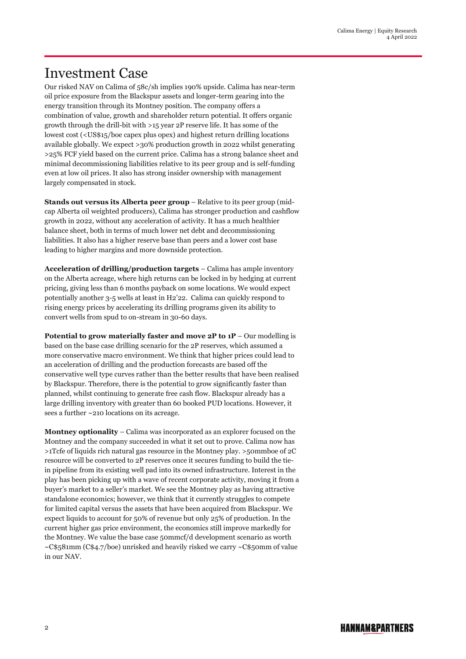### Investment Case

Our risked NAV on Calima of 58c/sh implies 190% upside. Calima has near-term oil price exposure from the Blackspur assets and longer-term gearing into the energy transition through its Montney position. The company offers a combination of value, growth and shareholder return potential. It offers organic growth through the drill-bit with >15 year 2P reserve life. It has some of the lowest cost (<US\$15/boe capex plus opex) and highest return drilling locations available globally. We expect >30% production growth in 2022 whilst generating >25% FCF yield based on the current price. Calima has a strong balance sheet and minimal decommissioning liabilities relative to its peer group and is self-funding even at low oil prices. It also has strong insider ownership with management largely compensated in stock.

**Stands out versus its Alberta peer group** – Relative to its peer group (midcap Alberta oil weighted producers), Calima has stronger production and cashflow growth in 2022, without any acceleration of activity. It has a much healthier balance sheet, both in terms of much lower net debt and decommissioning liabilities. It also has a higher reserve base than peers and a lower cost base leading to higher margins and more downside protection.

**Acceleration of drilling/production targets** – Calima has ample inventory on the Alberta acreage, where high returns can be locked in by hedging at current pricing, giving less than 6 months payback on some locations. We would expect potentially another 3-5 wells at least in H2'22. Calima can quickly respond to rising energy prices by accelerating its drilling programs given its ability to convert wells from spud to on-stream in 30-60 days.

**Potential to grow materially faster and move 2P to 1P** – Our modelling is based on the base case drilling scenario for the 2P reserves, which assumed a more conservative macro environment. We think that higher prices could lead to an acceleration of drilling and the production forecasts are based off the conservative well type curves rather than the better results that have been realised by Blackspur. Therefore, there is the potential to grow significantly faster than planned, whilst continuing to generate free cash flow. Blackspur already has a large drilling inventory with greater than 60 booked PUD locations. However, it sees a further ~210 locations on its acreage.

**Montney optionality** – Calima was incorporated as an explorer focused on the Montney and the company succeeded in what it set out to prove. Calima now has >1Tcfe of liquids rich natural gas resource in the Montney play. >50mmboe of 2C resource will be converted to 2P reserves once it secures funding to build the tiein pipeline from its existing well pad into its owned infrastructure. Interest in the play has been picking up with a wave of recent corporate activity, moving it from a buyer's market to a seller's market. We see the Montney play as having attractive standalone economics; however, we think that it currently struggles to compete for limited capital versus the assets that have been acquired from Blackspur. We expect liquids to account for 50% of revenue but only 25% of production. In the current higher gas price environment, the economics still improve markedly for the Montney. We value the base case 50mmcf/d development scenario as worth  $\sim$ C\$581mm (C\$4.7/boe) unrisked and heavily risked we carry  $\sim$ C\$50mm of value in our NAV.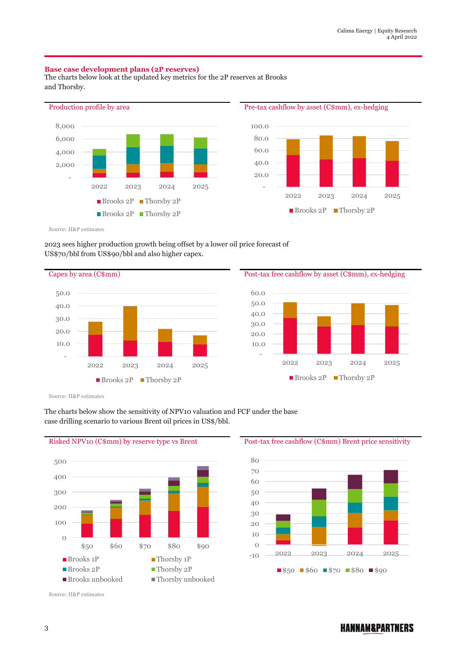### **Base case development plans (2P reserves)**

The charts below look at the updated key metrics for the 2P reserves at Brooks and Thorsby.





Source: H&P estimates

### 2023 sees higher production growth being offset by a lower oil price forecast of US\$70/bbl from US\$90/bbl and also higher capex.

Capex by area (C\$mm) Post-tax free cashflow by asset (C\$mm), ex-hedging - 10.0 20.0 30.0 40.0 50.0 2022 2023 2024 2025 ■ Brooks 2P ■ Thorsby 2P



Source: H&P estimates



The charts below show the sensitivity of NPV10 valuation and FCF under the base case drilling scenario to various Brent oil prices in US\$/bbl.

Risked NPV10 (C\$mm) by reserve type vs Brent Post-tax free cashflow (C\$mm) Brent price sensitivity



Source: H&P estimates

### **HANNAM&PARTNERS**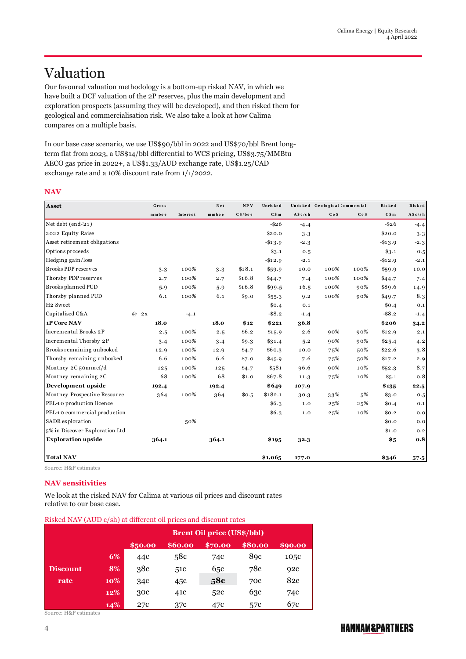## Valuation

Our favoured valuation methodology is a bottom-up risked NAV, in which we have built a DCF valuation of the 2P reserves, plus the main development and exploration prospects (assuming they will be developed), and then risked them for geological and commercialisation risk. We also take a look at how Calima compares on a multiple basis.

In our base case scenario, we use US\$90/bbl in 2022 and US\$70/bbl Brent longterm flat from 2023, a US\$14/bbl differential to WCS pricing, US\$3.75/MMBtu AECO gas price in 2022+, a US\$1.33/AUD exchange rate, US\$1.25/CAD exchange rate and a 10% discount rate from 1/1/2022.

### **NAV**

| Asset                          | Gross          |          | Net    | NPV     | Unris ked |           | Unrisked Geological 'ommercial |      | Risked     | Risked    |
|--------------------------------|----------------|----------|--------|---------|-----------|-----------|--------------------------------|------|------------|-----------|
|                                | mmboe          | Interest | mmbo e | C\$/boe | C\$m      | A \$c/s h | CoS                            | CoS  | C\$m       | A \$c/s h |
| Net debt (end-'21)             |                |          |        |         | $-$ \$26  | $-4.4$    |                                |      | $-$ \$26   | $-4.4$    |
| 2022 Equity Raise              |                |          |        |         | \$20.0    | 3.3       |                                |      | \$20.0     | 3.3       |
| Asset retirement obligations   |                |          |        |         | $-$13.9$  | $-2.3$    |                                |      | $-$ \$13.9 | $-2.3$    |
| Options proceeds               |                |          |        |         | \$3.1     | 0.5       |                                |      | \$3.1      | 0.5       |
| Hedging gain/loss              |                |          |        |         | $-$12.9$  | $-2.1$    |                                |      | $-$12.9$   | $-2.1$    |
| Brooks PDP reserves            | 3.3            | 100%     | 3.3    | \$18.1  | \$59.9    | 10.0      | 100%                           | 100% | \$59.9     | 10.0      |
| Thorsby PDP reserves           | 2.7            | 100%     | 2.7    | \$16.8  | \$44.7    | 7.4       | 100%                           | 100% | \$44.7     | 7.4       |
| Brooks planned PUD             | 5.9            | 100%     | 5.9    | \$16.8  | \$99.5    | 16.5      | 100%                           | 90%  | \$89.6     | 14.9      |
| Thorsby planned PUD            | 6.1            | 100%     | 6.1    | \$9.0   | \$55.3    | 9.2       | 100%                           | 90%  | \$49.7     | 8.3       |
| H <sub>2</sub> Sweet           |                |          |        |         | \$0.4     | 0.1       |                                |      | \$0.4      | 0.1       |
| Capitalised G&A                | $\omega$<br>2x | $-4.1$   |        |         | $-$ \$8.2 | $-1.4$    |                                |      | $-$ \$8.2  | $-1.4$    |
| 1P Core NAV                    | 18.0           |          | 18.0   | \$12    | \$221     | 36.8      |                                |      | \$206      | 34.2      |
| Incremental Brooks 2P          | 2.5            | 100%     | 2.5    | \$6.2   | \$15.9    | 2.6       | 90%                            | 90%  | \$12.9     | 2.1       |
| Incremental Thorsby 2P         | 3.4            | 100%     | 3.4    | \$9.3   | \$31.4    | 5.2       | 90%                            | 90%  | \$25.4     | 4.2       |
| Brooks remaining unbooked      | 12.9           | 100%     | 12.9   | \$4.7   | \$60.3    | 10.0      | 75%                            | 50%  | \$22.6     | 3.8       |
| Thorsby remaining unbooked     | 6.6            | 100%     | 6.6    | \$7.0   | \$45.9    | 7.6       | 75%                            | 50%  | \$17.2     | 2.9       |
| Montney 2C 50mmcf/d            | 125            | 100%     | 125    | \$4.7   | \$581     | 96.6      | 90%                            | 10%  | \$52.3     | 8.7       |
| Montney remaining 2C           | 68             | 100%     | 68     | \$1.0   | \$67.8    | 11.3      | 75%                            | 10%  | \$5.1      | 0.8       |
| Development upside             | 192.4          |          | 192.4  |         | \$649     | 107.9     |                                |      | \$135      | 22.5      |
| Montney Prospective Resource   | 364            | 100%     | 364    | \$0.5   | \$182.1   | 30.3      | 33%                            | 5%   | \$3.0      | 0.5       |
| PEL-10 production licence      |                |          |        |         | \$6.3\$   | 1.0       | 25%                            | 25%  | \$0.4      | 0.1       |
| PEL-10 commercial production   |                |          |        |         | \$6.3     | 1.0       | 25%                            | 10%  | \$0.2\$    | 0.0       |
| SADR exploration               |                | 50%      |        |         |           |           |                                |      | \$0.0      | 0.0       |
| 5% in Discover Exploration Ltd |                |          |        |         |           |           |                                |      | \$1.0      | 0.2       |
| <b>Exploration upside</b>      | 364.1          |          | 364.1  |         | \$195     | 32.3      |                                |      | \$5        | 0.8       |
| <b>Total NAV</b>               |                |          |        |         | \$1,065   | 177.0     |                                |      | \$346      | $57 - 5$  |

Source: H&P estimates

### **NAV sensitivities**

We look at the risked NAV for Calima at various oil prices and discount rates relative to our base case.

| Risked NAV (AUD c/sh) at different oil prices and discount rates |                                                    |                                   |     |     |                  |      |  |  |  |
|------------------------------------------------------------------|----------------------------------------------------|-----------------------------------|-----|-----|------------------|------|--|--|--|
|                                                                  |                                                    | <b>Brent Oil price (US\$/bbl)</b> |     |     |                  |      |  |  |  |
|                                                                  | \$80.00<br>\$60.00<br>890.00<br>\$50.00<br>\$70.00 |                                   |     |     |                  |      |  |  |  |
|                                                                  | 6%                                                 | 44c                               | 58c | 74c | 8 <sub>9</sub> c | 105c |  |  |  |
| <b>Discount</b>                                                  | 8%                                                 | 38c                               | 51c | 65c | 78c              | 92c  |  |  |  |
| rate                                                             | 10%                                                | 34c                               | 45c | 58c | 70c              | 82c  |  |  |  |
|                                                                  | 12%                                                | 30c                               | 41c | 52c | 63c              | 74c  |  |  |  |
|                                                                  | 14%                                                | 27c                               | 37c | 47c | 57c              | 67c  |  |  |  |

Source: H&P estimates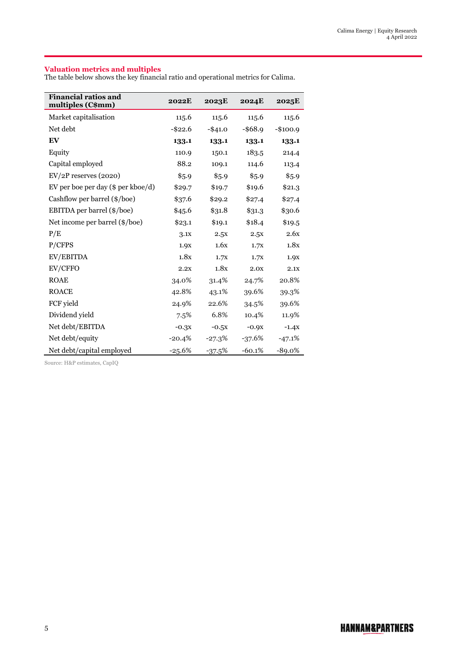### **Valuation metrics and multiples**

The table below shows the key financial ratio and operational metrics for Calima.

| <b>Financial ratios and</b><br>multiples (C\$mm) | <b>2022E</b> | 2023E      | <b>2024E</b> | 2025E     |
|--------------------------------------------------|--------------|------------|--------------|-----------|
| Market capitalisation                            | 115.6        | 115.6      | 115.6        | 115.6     |
| Net debt                                         | $-$ \$22.6   | $-$ \$41.0 | $-$ \$68.9   | $-$100.9$ |
| EV                                               | 133.1        | 133.1      | 133.1        | 133.1     |
| Equity                                           | 110.9        | 150.1      | 183.5        | 214.4     |
| Capital employed                                 | 88.2         | 109.1      | 114.6        | 113.4     |
| $EV/2P$ reserves $(2020)$                        | \$5.9        | \$5.9      | \$5.9        | \$5.9     |
| EV per boe per day (\$ per kboe/d)               | \$29.7       | \$19.7     | \$19.6       | \$21.3    |
| Cashflow per barrel $(\frac{\epsilon}{b})$       | \$37.6       | \$29.2     | \$27.4       | \$27.4    |
| EBITDA per barrel (\$/boe)                       | \$45.6       | \$31.8     | \$31.3       | \$30.6    |
| Net income per barrel (\$/boe)                   | \$23.1       | \$19.1     | \$18.4       | \$19.5    |
| P/E                                              | 3.1x         | 2.5x       | 2.5x         | 2.6x      |
| P/CFPS                                           | 1.9X         | 1.6x       | 1.7X         | 1.8x      |
| EV/EBITDA                                        | 1.8x         | 1.7X       | 1.7X         | 1.9X      |
| EV/CFFO                                          | 2.2X         | 1.8x       | 2.0x         | 2.1X      |
| <b>ROAE</b>                                      | 34.0%        | 31.4%      | 24.7%        | 20.8%     |
| <b>ROACE</b>                                     | 42.8%        | 43.1%      | 39.6%        | 39.3%     |
| FCF yield                                        | 24.9%        | 22.6%      | 34.5%        | 39.6%     |
| Dividend yield                                   | 7.5%         | 6.8%       | 10.4%        | 11.9%     |
| Net debt/EBITDA                                  | $-0.3x$      | $-0.5x$    | $-0.9x$      | $-1.4X$   |
| Net debt/equity                                  | $-20.4%$     | -27.3%     | $-37.6%$     | $-47.1%$  |
| Net debt/capital employed                        | $-25.6%$     | $-37.5%$   | $-60.1%$     | $-89.0\%$ |

Source: H&P estimates, CapIQ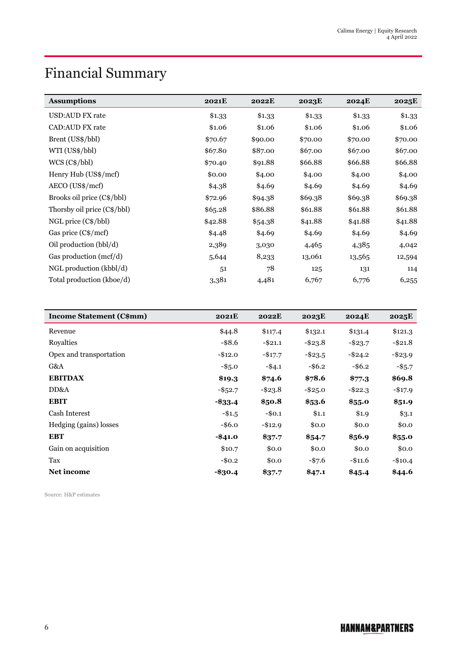# Financial Summary

| <b>Assumptions</b>          | <b>2021E</b> | <b>2022E</b> | 2023E   | <b>2024E</b> | 2025E   |
|-----------------------------|--------------|--------------|---------|--------------|---------|
| USD:AUD FX rate             | \$1.33       | \$1.33       | \$1.33  | \$1.33       | \$1.33  |
| <b>CAD:AUD FX rate</b>      | \$1.06       | \$1.06       | \$1.06  | \$1.06       | \$1.06  |
| Brent (US\$/bbl)            | \$70.67      | \$90.00      | \$70.00 | \$70.00      | \$70.00 |
| WTI (US\$/bbl)              | \$67.80      | \$87.00      | \$67.00 | \$67.00      | \$67.00 |
| $WCS (C\$/bb)$              | \$70.40      | \$91.88      | \$66.88 | \$66.88      | \$66.88 |
| Henry Hub (US\$/mcf)        | \$0.00       | \$4.00       | \$4.00  | \$4.00       | \$4.00  |
| AECO (US\$/mcf)             | \$4.38       | \$4.69       | \$4.69  | \$4.69       | \$4.69  |
| Brooks oil price (C\$/bbl)  | \$72.96      | \$94.38      | \$69.38 | \$69.38      | \$69.38 |
| Thorsby oil price (C\$/bbl) | \$65.28      | \$86.88      | \$61.88 | \$61.88      | \$61.88 |
| $NGL$ price $(C\$/bb)$      | \$42.88      | \$54.38      | \$41.88 | \$41.88      | \$41.88 |
| Gas price (C\$/mcf)         | \$4.48       | \$4.69       | \$4.69  | \$4.69       | \$4.69  |
| Oil production (bbl/d)      | 2,389        | 3,030        | 4,465   | 4,385        | 4,042   |
| Gas production (mcf/d)      | 5,644        | 8,233        | 13,061  | 13,565       | 12,594  |
| NGL production (kbbl/d)     | 51           | 78           | 125     | 131          | 114     |
| Total production (kboe/d)   | 3,381        | 4,481        | 6,767   | 6,776        | 6,255   |

| <b>Income Statement (C\$mm)</b> | 2021E      | 2022E      | 2023E      | <b>2024E</b> | 2025E      |
|---------------------------------|------------|------------|------------|--------------|------------|
| Revenue                         | \$44.8     | \$117.4    | \$132.1    | \$131.4      | \$121.3    |
| Royalties                       | $-$ \$8.6  | $-$ \$21.1 | $-$ \$23.8 | $-$ \$23.7   | $-$ \$21.8 |
| Opex and transportation         | $-$12.0$   | $-$17.7$   | $-$ \$23.5 | $-$ \$24.2   | $-$ \$23.9 |
| G&A                             | $-$ \$5.0  | $-$4.1$    | $-$ \$6.2  | $-$ \$6.2    | $-$ \$5.7  |
| <b>EBITDAX</b>                  | \$19.3     | \$74.6     | \$78.6     | \$77.3       | \$69.8     |
| DD&A                            | $-$ \$52.7 | $-$ \$23.8 | $-$ \$25.0 | $-$ \$22.3   | $-$ \$17.9 |
| <b>EBIT</b>                     | $- $33.4$  | \$50.8     | \$53.6     | \$55.0       | \$51.9     |
| Cash Interest                   | $-$ \$1.5  | $-$0.1$    | \$1.1      | \$1.9        | \$3.1      |
| Hedging (gains) losses          | $-$ \$6.0  | $-$12.9$   | \$0.0      | \$0.0        | \$0.0      |
| <b>EBT</b>                      | $-$ \$41.0 | \$37.7     | \$54.7     | \$56.9       | \$55.0     |
| Gain on acquisition             | \$10.7     | \$0.0      | \$0.0      | \$0.0        | \$0.0      |
| Tax                             | $-$0.2$    | \$0.0      | $-$ \$7.6  | $-$11.6$     | $-\$10.4$  |
| <b>Net income</b>               | $-\$30.4$  | \$37.7     | \$47.1     | \$45.4       | \$44.6     |

Source: H&P estimates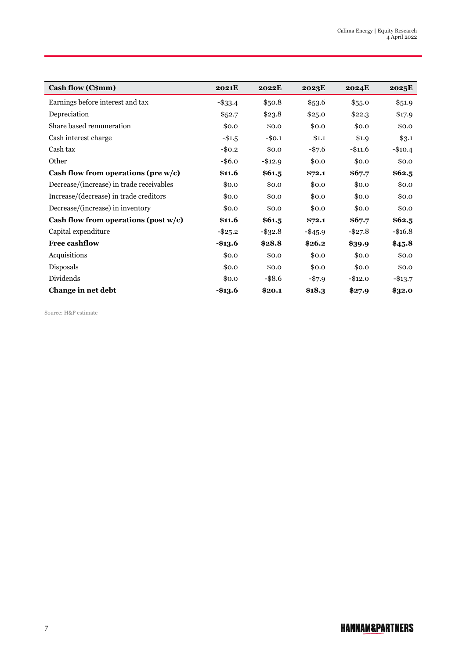| Cash flow (C\$mm)                        | <b>2021E</b> | 2022E      | 2023E      | <b>2024E</b> | 2025E      |
|------------------------------------------|--------------|------------|------------|--------------|------------|
| Earnings before interest and tax         | $-$ \$33.4   | \$50.8     | \$53.6     | \$55.0       | \$51.9     |
| Depreciation                             | \$52.7       | \$23.8     | \$25.0     | \$22.3       | \$17.9     |
| Share based remuneration                 | \$0.0        | \$0.0      | \$0.0      | \$0.0        | \$0.0      |
| Cash interest charge                     | $-$ \$1.5    | $-$0.1$    | \$1.1      | \$1.9        | \$3.1      |
| Cash tax                                 | $-$0.2$      | \$0.0      | $-$ \$7.6  | $-\$11.6$    | $-$10.4$   |
| Other                                    | $-$ \$6.0    | $-$12.9$   | \$0.0      | \$0.0        | \$0.0      |
| Cash flow from operations (pre $w/c$ )   | \$11.6       | \$61.5     | \$72.1     | \$67.7       | \$62.5     |
| Decrease/(increase) in trade receivables | \$0.0        | \$0.0      | \$0.0      | \$0.0        | \$0.0      |
| Increase/(decrease) in trade creditors   | \$0.0        | \$0.0      | \$0.0      | \$0.0        | \$0.0      |
| Decrease/(increase) in inventory         | \$0.0        | \$0.0      | \$0.0      | \$0.0        | \$0.0      |
| Cash flow from operations (post $w/c$ )  | \$11.6       | \$61.5     | \$72.1     | \$67.7       | \$62.5     |
| Capital expenditure                      | $-$ \$25.2   | $-$ \$32.8 | $-$ \$45.9 | $-$ \$27.8   | $-$ \$16.8 |
| <b>Free cashflow</b>                     | -\$13.6      | \$28.8     | \$26.2     | \$39.9       | \$45.8     |
| Acquisitions                             | \$0.0        | \$0.0      | \$0.0      | \$0.0        | \$0.0      |
| Disposals                                | \$0.0        | \$0.0      | \$0.0      | \$0.0        | \$0.0      |
| Dividends                                | \$0.0        | $-$ \$8.6  | $-$ \$7.9  | $-$12.0$     | $-\$13.7$  |
| Change in net debt                       | -\$13.6      | \$20.1     | \$18.3     | \$27.9       | \$32.0     |

Source: H&P estimate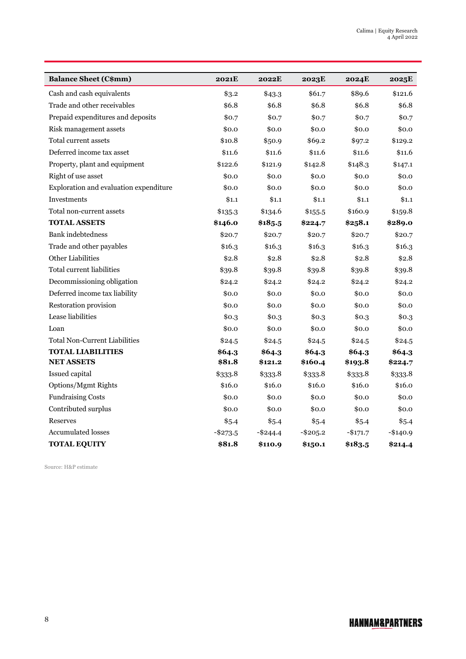| <b>Balance Sheet (C\$mm)</b>           | <b>2021E</b> | 2022E       | 2023E     | <b>2024E</b> | 2025E     |
|----------------------------------------|--------------|-------------|-----------|--------------|-----------|
| Cash and cash equivalents              | \$3.2        | \$43.3      | \$61.7    | \$89.6       | \$121.6   |
| Trade and other receivables            | \$6.8        | \$6.8       | \$6.8     | \$6.8        | \$6.8     |
| Prepaid expenditures and deposits      | \$0.7        | \$0.7       | \$0.7     | \$0.7        | \$0.7     |
| Risk management assets                 | \$0.0        | \$0.0       | \$0.0     | \$0.0        | \$0.0     |
| Total current assets                   | \$10.8       | \$50.9      | \$69.2    | \$97.2       | \$129.2   |
| Deferred income tax asset              | \$11.6       | \$11.6      | \$11.6    | \$11.6       | \$11.6    |
| Property, plant and equipment          | \$122.6      | \$121.9     | \$142.8   | \$148.3      | \$147.1   |
| Right of use asset                     | \$0.0        | \$0.0       | \$0.0     | \$0.0        | \$0.0     |
| Exploration and evaluation expenditure | \$0.0        | \$0.0       | \$0.0     | \$0.0        | \$0.0     |
| Investments                            | \$1.1        | \$1.1       | \$1.1     | \$1.1        | \$1.1     |
| Total non-current assets               | \$135.3      | \$134.6     | \$155.5   | \$160.9      | \$159.8   |
| <b>TOTAL ASSETS</b>                    | \$146.0      | \$185.5     | \$224.7   | \$258.1      | \$289.0   |
| <b>Bank</b> indebtedness               | \$20.7       | \$20.7      | \$20.7    | \$20.7       | \$20.7    |
| Trade and other payables               | \$16.3       | \$16.3      | \$16.3    | \$16.3       | \$16.3    |
| <b>Other Liabilities</b>               | \$2.8        | \$2.8       | \$2.8     | \$2.8        | \$2.8     |
| Total current liabilities              | \$39.8       | \$39.8      | \$39.8    | \$39.8       | \$39.8    |
| Decommissioning obligation             | \$24.2       | \$24.2      | \$24.2    | \$24.2       | \$24.2    |
| Deferred income tax liability          | \$0.0        | \$0.0       | \$0.0     | \$0.0        | \$0.0     |
| Restoration provision                  | \$0.0        | \$0.0       | \$0.0     | \$0.0        | \$0.0     |
| Lease liabilities                      | \$0.3        | \$0.3       | \$0.3     | \$0.3        | \$0.3     |
| Loan                                   | \$0.0        | \$0.0       | \$0.0     | \$0.0        | \$0.0     |
| <b>Total Non-Current Liabilities</b>   | \$24.5       | \$24.5      | \$24.5    | \$24.5       | \$24.5    |
| <b>TOTAL LIABILITIES</b>               | \$64.3       | \$64.3      | \$64.3    | \$64.3       | \$64.3    |
| <b>NET ASSETS</b>                      | \$81.8       | \$121.2     | \$160.4   | \$193.8      | \$224.7   |
| Issued capital                         | \$333.8      | \$333.8     | \$333.8   | \$333.8      | \$333.8   |
| Options/Mgmt Rights                    | \$16.0       | \$16.0      | \$16.0    | \$16.0       | \$16.0    |
| <b>Fundraising Costs</b>               | \$0.0        | \$0.0       | \$0.0     | \$0.0        | \$0.0     |
| Contributed surplus                    | \$0.0        | \$0.0       | \$0.0     | \$0.0        | \$0.0     |
| Reserves                               | \$5.4        | \$5.4       | \$5.4     | \$5.4        | \$5.4     |
| <b>Accumulated losses</b>              | $-$ \$273.5  | $-$ \$244.4 | $-$205.2$ | $-$ \$171.7  | $-$140.9$ |
| <b>TOTAL EQUITY</b>                    | \$81.8       | \$110.9     | \$150.1   | \$183.5      | \$214.4   |

Source: H&P estimate